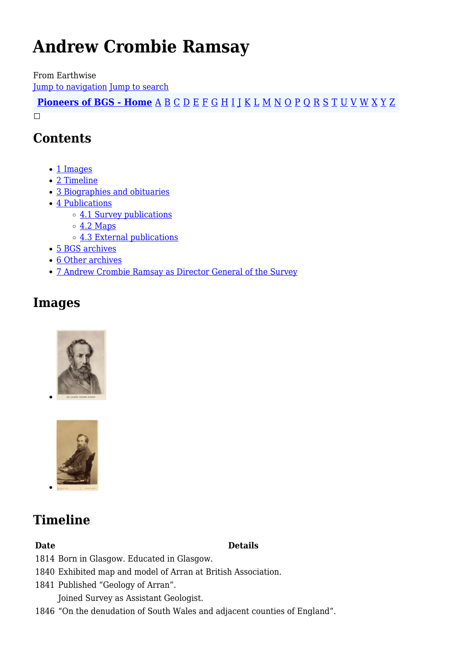# **Andrew Crombie Ramsay**

From Earthwise [Jump to navigation](#page--1-0) [Jump to search](#page--1-0)

**[Pioneers of BGS - Home](http://earthwise.bgs.ac.uk/index.php/Pioneers_of_the_British_Geological_Survey)** [A](http://earthwise.bgs.ac.uk/index.php/Pioneers_of_the_British_Geological_Survey#A) [B](http://earthwise.bgs.ac.uk/index.php/Pioneers_of_the_British_Geological_Survey#B) [C](http://earthwise.bgs.ac.uk/index.php/Pioneers_of_the_British_Geological_Survey#C) [D](http://earthwise.bgs.ac.uk/index.php/Pioneers_of_the_British_Geological_Survey#D) [E](http://earthwise.bgs.ac.uk/index.php/Pioneers_of_the_British_Geological_Survey#E) [F](http://earthwise.bgs.ac.uk/index.php/Pioneers_of_the_British_Geological_Survey#F) [G](http://earthwise.bgs.ac.uk/index.php/Pioneers_of_the_British_Geological_Survey#G) [H](http://earthwise.bgs.ac.uk/index.php/Pioneers_of_the_British_Geological_Survey#H) [I](http://earthwise.bgs.ac.uk/index.php/Pioneers_of_the_British_Geological_Survey#I) [J](http://earthwise.bgs.ac.uk/index.php/Pioneers_of_the_British_Geological_Survey#J) [K](http://earthwise.bgs.ac.uk/index.php/Pioneers_of_the_British_Geological_Survey#K) [L](http://earthwise.bgs.ac.uk/index.php/Pioneers_of_the_British_Geological_Survey#L) [M](http://earthwise.bgs.ac.uk/index.php/Pioneers_of_the_British_Geological_Survey#M) [N](http://earthwise.bgs.ac.uk/index.php/Pioneers_of_the_British_Geological_Survey#N) [O](http://earthwise.bgs.ac.uk/index.php/Pioneers_of_the_British_Geological_Survey#O) [P](http://earthwise.bgs.ac.uk/index.php/Pioneers_of_the_British_Geological_Survey#P) [Q](http://earthwise.bgs.ac.uk/index.php/Pioneers_of_the_British_Geological_Survey#Q) [R](http://earthwise.bgs.ac.uk/index.php/Pioneers_of_the_British_Geological_Survey#R) [S](http://earthwise.bgs.ac.uk/index.php/Pioneers_of_the_British_Geological_Survey#S) [T](http://earthwise.bgs.ac.uk/index.php/Pioneers_of_the_British_Geological_Survey#T) [U](http://earthwise.bgs.ac.uk/index.php/Pioneers_of_the_British_Geological_Survey#U) [V](http://earthwise.bgs.ac.uk/index.php/Pioneers_of_the_British_Geological_Survey#V) [W](http://earthwise.bgs.ac.uk/index.php/Pioneers_of_the_British_Geological_Survey#W) [X](http://earthwise.bgs.ac.uk/index.php/Pioneers_of_the_British_Geological_Survey#X) [Y](http://earthwise.bgs.ac.uk/index.php/Pioneers_of_the_British_Geological_Survey#Y) [Z](http://earthwise.bgs.ac.uk/index.php/Pioneers_of_the_British_Geological_Survey#Z)  $\Box$ 

### **Contents**

- [1](#page--1-0) [Images](#page--1-0)
- [2](#page--1-0) [Timeline](#page--1-0)
- [3](#page--1-0) [Biographies and obituaries](#page--1-0)
- [4](#page--1-0) [Publications](#page--1-0)
	- o [4.1](#page--1-0) [Survey publications](#page--1-0)
	- $\circ$  [4.2](#page--1-0) [Maps](#page--1-0)
	- [4.3](#page--1-0) [External publications](#page--1-0)
- [5](#page--1-0) [BGS archives](#page--1-0)
- [6](#page--1-0) [Other archives](#page--1-0)
- [7](#page--1-0) [Andrew Crombie Ramsay as Director General of the Survey](#page--1-0)

### **Images**





## **Timeline**

#### **Date Details**

- 1814 Born in Glasgow. Educated in Glasgow.
- 1840 Exhibited map and model of Arran at British Association.
- 1841 Published "Geology of Arran".

Joined Survey as Assistant Geologist.

1846 "On the denudation of South Wales and adjacent counties of England".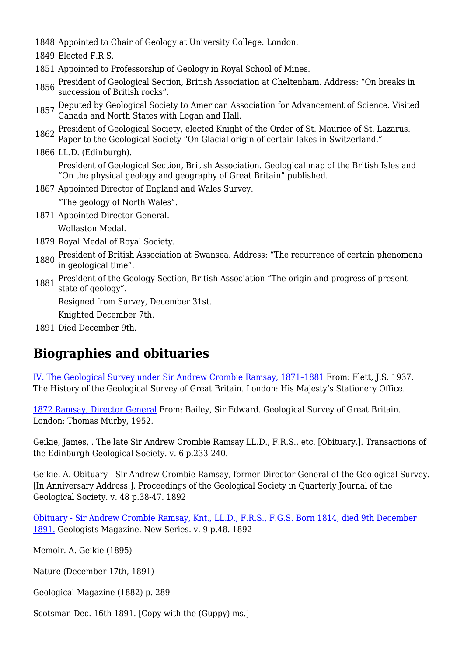1848 Appointed to Chair of Geology at University College. London.

1849 Elected F.R.S.

- 1851 Appointed to Professorship of Geology in Royal School of Mines.
- <sup>1856</sup> President of Geological Section, British Association at Cheltenham. Address: "On breaks in succession of British rocks".
- 1857 Deputed by Geological Society to American Association for Advancement of Science. Visited Canada and North States with Logan and Hall.
- 1862 President of Geological Society, elected Knight of the Order of St. Maurice of St. Lazarus. Paper to the Geological Society "On Glacial origin of certain lakes in Switzerland."
- 1866 LL.D. (Edinburgh). President of Geological Section, British Association. Geological map of the British Isles and "On the physical geology and geography of Great Britain" published.
- 1867 Appointed Director of England and Wales Survey.
	- "The geology of North Wales".
- 1871 Appointed Director-General.

Wollaston Medal.

- 1879 Royal Medal of Royal Society.
- 1880 President of British Association at Swansea. Address: "The recurrence of certain phenomena in geological time".
- <sup>1881</sup> President of the Geology Section, British Association "The origin and progress of present state of geology".

Resigned from Survey, December 31st.

Knighted December 7th.

1891 Died December 9th.

### **Biographies and obituaries**

[IV. The Geological Survey under Sir Andrew Crombie Ramsay, 1871–1881](http://earthwise.bgs.ac.uk/index.php/Geological_Survey_under_Sir_Andrew_Crombie_Ramsay,_1871%E2%80%931881) From: Flett, J.S. 1937. The History of the Geological Survey of Great Britain. London: His Majesty's Stationery Office.

[1872 Ramsay, Director General](http://earthwise.bgs.ac.uk/index.php/1872_Ramsay,_Director_General_-_Geological_Survey_of_Great_Britain_(by_E.B._Bailey)) From: Bailey, Sir Edward. Geological Survey of Great Britain. London: Thomas Murby, 1952.

Geikie, James, . The late Sir Andrew Crombie Ramsay LL.D., F.R.S., etc. [Obituary.]. Transactions of the Edinburgh Geological Society. v. 6 p.233-240.

Geikie, A. Obituary - Sir Andrew Crombie Ramsay, former Director-General of the Geological Survey. [In Anniversary Address.]. Proceedings of the Geological Society in Quarterly Journal of the Geological Society. v. 48 p.38-47. 1892

[Obituary - Sir Andrew Crombie Ramsay, Knt., LL.D., F.R.S., F.G.S. Born 1814, died 9th December](https://www.cambridge.org/core/services/aop-cambridge-core/content/view/S0016756800188739) [1891.](https://www.cambridge.org/core/services/aop-cambridge-core/content/view/S0016756800188739) Geologists Magazine. New Series. v. 9 p.48. 1892

Memoir. A. Geikie (1895)

Nature (December 17th, 1891)

Geological Magazine (1882) p. 289

Scotsman Dec. 16th 1891. [Copy with the (Guppy) ms.]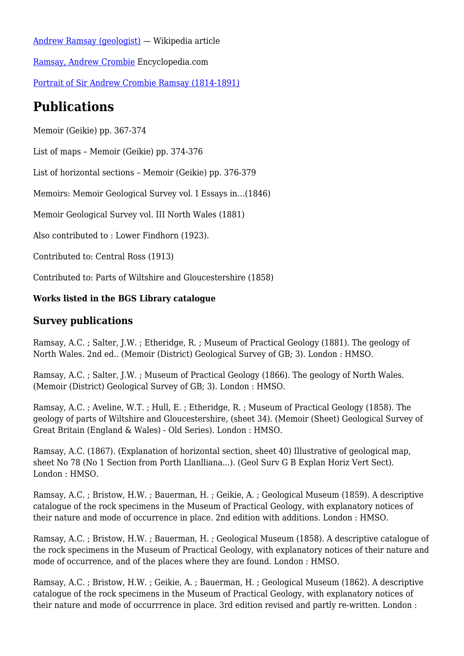[Andrew Ramsay \(geologist\)](https://en.wikipedia.org/wiki/Andrew_Ramsay_(geologist)) — Wikipedia article [Ramsay, Andrew Crombie](https://www.encyclopedia.com/science/dictionaries-thesauruses-pictures-and-press-releases/ramsay-andrew-crombie) Encyclopedia.com [Portrait of Sir Andrew Crombie Ramsay \(1814-1891\)](https://www.geolsoc.org.uk/Library-and-Information-Services/Exhibitions/The-Societys-portrait-and-bust-collection/Portrait-of-Sir-Andrew-Crombie-Ramsay)

## **Publications**

Memoir (Geikie) pp. 367-374

List of maps – Memoir (Geikie) pp. 374-376

List of horizontal sections – Memoir (Geikie) pp. 376-379

Memoirs: Memoir Geological Survey vol. I Essays in…(1846)

Memoir Geological Survey vol. III North Wales (1881)

Also contributed to : Lower Findhorn (1923).

Contributed to: Central Ross (1913)

Contributed to: Parts of Wiltshire and Gloucestershire (1858)

#### **Works listed in the BGS Library catalogue**

### **Survey publications**

Ramsay, A.C. ; Salter, J.W. ; Etheridge, R. ; Museum of Practical Geology (1881). The geology of North Wales. 2nd ed.. (Memoir (District) Geological Survey of GB; 3). London : HMSO.

Ramsay, A.C. ; Salter, J.W. ; Museum of Practical Geology (1866). The geology of North Wales. (Memoir (District) Geological Survey of GB; 3). London : HMSO.

Ramsay, A.C. ; Aveline, W.T. ; Hull, E. ; Etheridge, R. ; Museum of Practical Geology (1858). The geology of parts of Wiltshire and Gloucestershire, (sheet 34). (Memoir (Sheet) Geological Survey of Great Britain (England & Wales) - Old Series). London : HMSO.

Ramsay, A.C. (1867). (Explanation of horizontal section, sheet 40) Illustrative of geological map, sheet No 78 (No 1 Section from Porth Llanlliana...). (Geol Surv G B Explan Horiz Vert Sect). London : HMSO.

Ramsay, A.C. ; Bristow, H.W. ; Bauerman, H. ; Geikie, A. ; Geological Museum (1859). A descriptive catalogue of the rock specimens in the Museum of Practical Geology, with explanatory notices of their nature and mode of occurrence in place. 2nd edition with additions. London : HMSO.

Ramsay, A.C. ; Bristow, H.W. ; Bauerman, H. ; Geological Museum (1858). A descriptive catalogue of the rock specimens in the Museum of Practical Geology, with explanatory notices of their nature and mode of occurrence, and of the places where they are found. London : HMSO.

Ramsay, A.C. ; Bristow, H.W. ; Geikie, A. ; Bauerman, H. ; Geological Museum (1862). A descriptive catalogue of the rock specimens in the Museum of Practical Geology, with explanatory notices of their nature and mode of occurrrence in place. 3rd edition revised and partly re-written. London :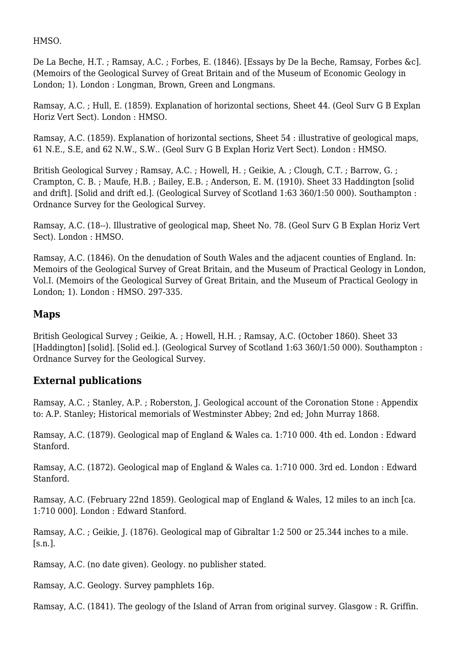HMSO.

De La Beche, H.T. ; Ramsay, A.C. ; Forbes, E. (1846). [Essays by De la Beche, Ramsay, Forbes &c]. (Memoirs of the Geological Survey of Great Britain and of the Museum of Economic Geology in London; 1). London : Longman, Brown, Green and Longmans.

Ramsay, A.C. ; Hull, E. (1859). Explanation of horizontal sections, Sheet 44. (Geol Surv G B Explan Horiz Vert Sect). London : HMSO.

Ramsay, A.C. (1859). Explanation of horizontal sections, Sheet 54 : illustrative of geological maps, 61 N.E., S.E, and 62 N.W., S.W.. (Geol Surv G B Explan Horiz Vert Sect). London : HMSO.

British Geological Survey ; Ramsay, A.C. ; Howell, H. ; Geikie, A. ; Clough, C.T. ; Barrow, G. ; Crampton, C. B. ; Maufe, H.B. ; Bailey, E.B. ; Anderson, E. M. (1910). Sheet 33 Haddington [solid and drift]. [Solid and drift ed.]. (Geological Survey of Scotland 1:63 360/1:50 000). Southampton : Ordnance Survey for the Geological Survey.

Ramsay, A.C. (18--). Illustrative of geological map, Sheet No. 78. (Geol Surv G B Explan Horiz Vert Sect). London : HMSO.

Ramsay, A.C. (1846). On the denudation of South Wales and the adjacent counties of England. In: Memoirs of the Geological Survey of Great Britain, and the Museum of Practical Geology in London, Vol.I. (Memoirs of the Geological Survey of Great Britain, and the Museum of Practical Geology in London; 1). London : HMSO. 297-335.

### **Maps**

British Geological Survey ; Geikie, A. ; Howell, H.H. ; Ramsay, A.C. (October 1860). Sheet 33 [Haddington] [solid]. [Solid ed.]. (Geological Survey of Scotland 1:63 360/1:50 000). Southampton : Ordnance Survey for the Geological Survey.

### **External publications**

Ramsay, A.C. ; Stanley, A.P. ; Roberston, J. Geological account of the Coronation Stone : Appendix to: A.P. Stanley; Historical memorials of Westminster Abbey; 2nd ed; John Murray 1868.

Ramsay, A.C. (1879). Geological map of England & Wales ca. 1:710 000. 4th ed. London : Edward Stanford.

Ramsay, A.C. (1872). Geological map of England & Wales ca. 1:710 000. 3rd ed. London : Edward Stanford.

Ramsay, A.C. (February 22nd 1859). Geological map of England & Wales, 12 miles to an inch [ca. 1:710 000]. London : Edward Stanford.

Ramsay, A.C. ; Geikie, J. (1876). Geological map of Gibraltar 1:2 500 or 25.344 inches to a mile.  $[s.n.]$ .

Ramsay, A.C. (no date given). Geology. no publisher stated.

Ramsay, A.C. Geology. Survey pamphlets 16p.

Ramsay, A.C. (1841). The geology of the Island of Arran from original survey. Glasgow : R. Griffin.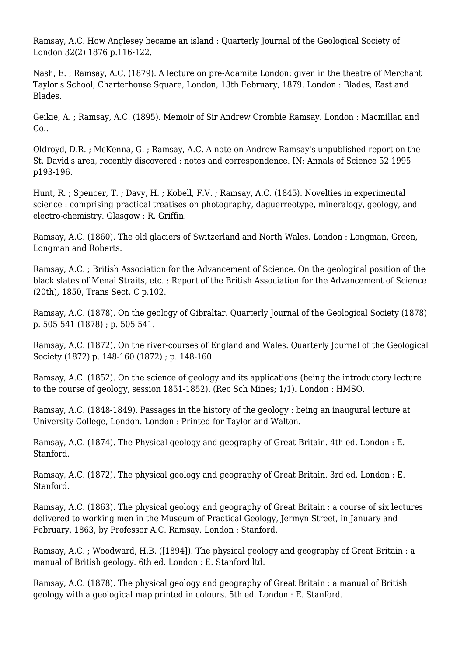Ramsay, A.C. How Anglesey became an island : Quarterly Journal of the Geological Society of London 32(2) 1876 p.116-122.

Nash, E. ; Ramsay, A.C. (1879). A lecture on pre-Adamite London: given in the theatre of Merchant Taylor's School, Charterhouse Square, London, 13th February, 1879. London : Blades, East and Blades.

Geikie, A. ; Ramsay, A.C. (1895). Memoir of Sir Andrew Crombie Ramsay. London : Macmillan and Co..

Oldroyd, D.R. ; McKenna, G. ; Ramsay, A.C. A note on Andrew Ramsay's unpublished report on the St. David's area, recently discovered : notes and correspondence. IN: Annals of Science 52 1995 p193-196.

Hunt, R. ; Spencer, T. ; Davy, H. ; Kobell, F.V. ; Ramsay, A.C. (1845). Novelties in experimental science : comprising practical treatises on photography, daguerreotype, mineralogy, geology, and electro-chemistry. Glasgow : R. Griffin.

Ramsay, A.C. (1860). The old glaciers of Switzerland and North Wales. London : Longman, Green, Longman and Roberts.

Ramsay, A.C. ; British Association for the Advancement of Science. On the geological position of the black slates of Menai Straits, etc. : Report of the British Association for the Advancement of Science (20th), 1850, Trans Sect. C p.102.

Ramsay, A.C. (1878). On the geology of Gibraltar. Quarterly Journal of the Geological Society (1878) p. 505-541 (1878) ; p. 505-541.

Ramsay, A.C. (1872). On the river-courses of England and Wales. Quarterly Journal of the Geological Society (1872) p. 148-160 (1872) ; p. 148-160.

Ramsay, A.C. (1852). On the science of geology and its applications (being the introductory lecture to the course of geology, session 1851-1852). (Rec Sch Mines; 1/1). London : HMSO.

Ramsay, A.C. (1848-1849). Passages in the history of the geology : being an inaugural lecture at University College, London. London : Printed for Taylor and Walton.

Ramsay, A.C. (1874). The Physical geology and geography of Great Britain. 4th ed. London : E. Stanford.

Ramsay, A.C. (1872). The physical geology and geography of Great Britain. 3rd ed. London : E. Stanford.

Ramsay, A.C. (1863). The physical geology and geography of Great Britain : a course of six lectures delivered to working men in the Museum of Practical Geology, Jermyn Street, in January and February, 1863, by Professor A.C. Ramsay. London : Stanford.

Ramsay, A.C. ; Woodward, H.B. ([1894]). The physical geology and geography of Great Britain : a manual of British geology. 6th ed. London : E. Stanford ltd.

Ramsay, A.C. (1878). The physical geology and geography of Great Britain : a manual of British geology with a geological map printed in colours. 5th ed. London : E. Stanford.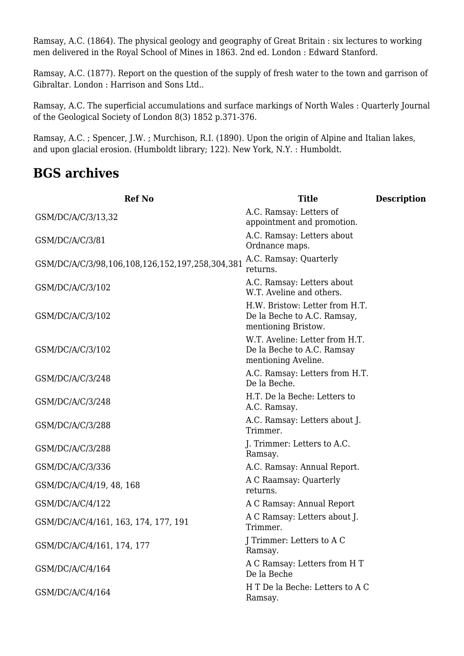Ramsay, A.C. (1864). The physical geology and geography of Great Britain : six lectures to working men delivered in the Royal School of Mines in 1863. 2nd ed. London : Edward Stanford.

Ramsay, A.C. (1877). Report on the question of the supply of fresh water to the town and garrison of Gibraltar. London : Harrison and Sons Ltd..

Ramsay, A.C. The superficial accumulations and surface markings of North Wales : Quarterly Journal of the Geological Society of London 8(3) 1852 p.371-376.

Ramsay, A.C. ; Spencer, J.W. ; Murchison, R.I. (1890). Upon the origin of Alpine and Italian lakes, and upon glacial erosion. (Humboldt library; 122). New York, N.Y. : Humboldt.

### **BGS archives**

| <b>Ref No</b>                                   | <b>Title</b>                                                                         | <b>Description</b> |
|-------------------------------------------------|--------------------------------------------------------------------------------------|--------------------|
| GSM/DC/A/C/3/13,32                              | A.C. Ramsay: Letters of<br>appointment and promotion.                                |                    |
| GSM/DC/A/C/3/81                                 | A.C. Ramsay: Letters about<br>Ordnance maps.                                         |                    |
| GSM/DC/A/C/3/98,106,108,126,152,197,258,304,381 | A.C. Ramsay: Quarterly<br>returns.                                                   |                    |
| GSM/DC/A/C/3/102                                | A.C. Ramsay: Letters about<br>W.T. Aveline and others.                               |                    |
| GSM/DC/A/C/3/102                                | H.W. Bristow: Letter from H.T.<br>De la Beche to A.C. Ramsay,<br>mentioning Bristow. |                    |
| GSM/DC/A/C/3/102                                | W.T. Aveline: Letter from H.T.<br>De la Beche to A.C. Ramsay<br>mentioning Aveline.  |                    |
| GSM/DC/A/C/3/248                                | A.C. Ramsay: Letters from H.T.<br>De la Beche.                                       |                    |
| GSM/DC/A/C/3/248                                | H.T. De la Beche: Letters to<br>A.C. Ramsay.                                         |                    |
| GSM/DC/A/C/3/288                                | A.C. Ramsay: Letters about J.<br>Trimmer.                                            |                    |
| GSM/DC/A/C/3/288                                | J. Trimmer: Letters to A.C.<br>Ramsay.                                               |                    |
| GSM/DC/A/C/3/336                                | A.C. Ramsay: Annual Report.                                                          |                    |
| GSM/DC/A/C/4/19, 48, 168                        | A C Raamsay: Quarterly<br>returns.                                                   |                    |
| GSM/DC/A/C/4/122                                | A C Ramsay: Annual Report                                                            |                    |
| GSM/DC/A/C/4/161, 163, 174, 177, 191            | A C Ramsay: Letters about J.<br>Trimmer.                                             |                    |
| GSM/DC/A/C/4/161, 174, 177                      | J Trimmer: Letters to A C<br>Ramsay.                                                 |                    |
| GSM/DC/A/C/4/164                                | A C Ramsay: Letters from H T<br>De la Beche                                          |                    |
| GSM/DC/A/C/4/164                                | H T De la Beche: Letters to A C<br>Ramsay.                                           |                    |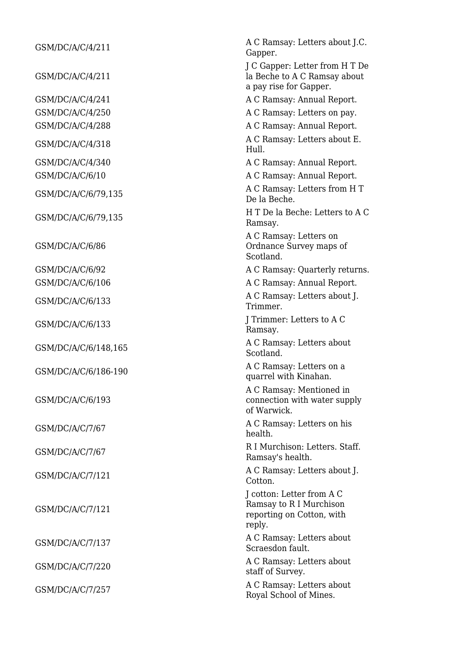| GSM/DC/A/C/4/211     | A C Ramsay: Letters about J.C.<br>Gapper.                                                   |
|----------------------|---------------------------------------------------------------------------------------------|
| GSM/DC/A/C/4/211     | J C Gapper: Letter from H T De<br>la Beche to A C Ramsay about<br>a pay rise for Gapper.    |
| GSM/DC/A/C/4/241     | A C Ramsay: Annual Report.                                                                  |
| GSM/DC/A/C/4/250     | A C Ramsay: Letters on pay.                                                                 |
| GSM/DC/A/C/4/288     | A C Ramsay: Annual Report.                                                                  |
| GSM/DC/A/C/4/318     | A C Ramsay: Letters about E.<br>Hull.                                                       |
| GSM/DC/A/C/4/340     | A C Ramsay: Annual Report.                                                                  |
| GSM/DC/A/C/6/10      | A C Ramsay: Annual Report.                                                                  |
| GSM/DC/A/C/6/79,135  | A C Ramsay: Letters from H T<br>De la Beche.                                                |
| GSM/DC/A/C/6/79,135  | H T De la Beche: Letters to A C<br>Ramsay.                                                  |
| GSM/DC/A/C/6/86      | A C Ramsay: Letters on<br>Ordnance Survey maps of<br>Scotland.                              |
| GSM/DC/A/C/6/92      | A C Ramsay: Quarterly returns.                                                              |
| GSM/DC/A/C/6/106     | A C Ramsay: Annual Report.                                                                  |
| GSM/DC/A/C/6/133     | A C Ramsay: Letters about J.<br>Trimmer.                                                    |
| GSM/DC/A/C/6/133     | J Trimmer: Letters to A C<br>Ramsay.                                                        |
| GSM/DC/A/C/6/148,165 | A C Ramsay: Letters about<br>Scotland.                                                      |
| GSM/DC/A/C/6/186-190 | A C Ramsay: Letters on a<br>quarrel with Kinahan.                                           |
| GSM/DC/A/C/6/193     | A C Ramsay: Mentioned in<br>connection with water supply<br>of Warwick.                     |
| GSM/DC/A/C/7/67      | A C Ramsay: Letters on his<br>health.                                                       |
| GSM/DC/A/C/7/67      | R I Murchison: Letters. Staff.<br>Ramsay's health.                                          |
| GSM/DC/A/C/7/121     | A C Ramsay: Letters about J.<br>Cotton.                                                     |
| GSM/DC/A/C/7/121     | J cotton: Letter from A C<br>Ramsay to R I Murchison<br>reporting on Cotton, with<br>reply. |
| GSM/DC/A/C/7/137     | A C Ramsay: Letters about<br>Scraesdon fault.                                               |
| GSM/DC/A/C/7/220     | A C Ramsay: Letters about<br>staff of Survey.                                               |
| GSM/DC/A/C/7/257     | A C Ramsay: Letters about<br>Royal School of Mines.                                         |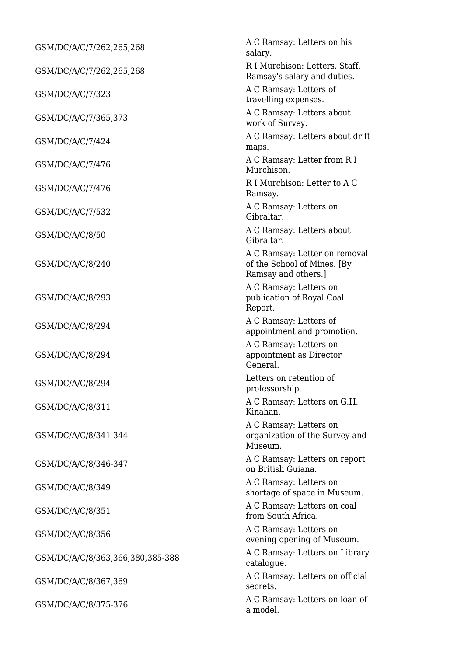| GSM/DC/A/C/7/262,265,268         | A C Ramsay: Letters on his<br>salary.                                               |  |
|----------------------------------|-------------------------------------------------------------------------------------|--|
| GSM/DC/A/C/7/262,265,268         | R I Murchison: Letters. Staff.<br>Ramsay's salary and duties.                       |  |
| GSM/DC/A/C/7/323                 | A C Ramsay: Letters of<br>travelling expenses.                                      |  |
| GSM/DC/A/C/7/365,373             | A C Ramsay: Letters about<br>work of Survey.                                        |  |
| GSM/DC/A/C/7/424                 | A C Ramsay: Letters about drift<br>maps.                                            |  |
| GSM/DC/A/C/7/476                 | A C Ramsay: Letter from R I<br>Murchison.                                           |  |
| GSM/DC/A/C/7/476                 | R I Murchison: Letter to A C<br>Ramsay.                                             |  |
| GSM/DC/A/C/7/532                 | A C Ramsay: Letters on<br>Gibraltar.                                                |  |
| GSM/DC/A/C/8/50                  | A C Ramsay: Letters about<br>Gibraltar.                                             |  |
| GSM/DC/A/C/8/240                 | A C Ramsay: Letter on removal<br>of the School of Mines. [By<br>Ramsay and others.] |  |
| GSM/DC/A/C/8/293                 | A C Ramsay: Letters on<br>publication of Royal Coal<br>Report.                      |  |
| GSM/DC/A/C/8/294                 | A C Ramsay: Letters of<br>appointment and promotion.                                |  |
| GSM/DC/A/C/8/294                 | A C Ramsay: Letters on<br>appointment as Director<br>General.                       |  |
| GSM/DC/A/C/8/294                 | Letters on retention of<br>professorship.                                           |  |
| GSM/DC/A/C/8/311                 | A C Ramsay: Letters on G.H.<br>Kinahan.                                             |  |
| GSM/DC/A/C/8/341-344             | A C Ramsay: Letters on<br>organization of the Survey and<br>Museum.                 |  |
| GSM/DC/A/C/8/346-347             | A C Ramsay: Letters on report<br>on British Guiana.                                 |  |
| GSM/DC/A/C/8/349                 | A C Ramsay: Letters on<br>shortage of space in Museum.                              |  |
| GSM/DC/A/C/8/351                 | A C Ramsay: Letters on coal<br>from South Africa.                                   |  |
| GSM/DC/A/C/8/356                 | A C Ramsay: Letters on<br>evening opening of Museum.                                |  |
| GSM/DC/A/C/8/363,366,380,385-388 | A C Ramsay: Letters on Library<br>catalogue.                                        |  |
| GSM/DC/A/C/8/367,369             | A C Ramsay: Letters on official<br>secrets.                                         |  |
| GSM/DC/A/C/8/375-376             | A C Ramsay: Letters on loan of<br>a model.                                          |  |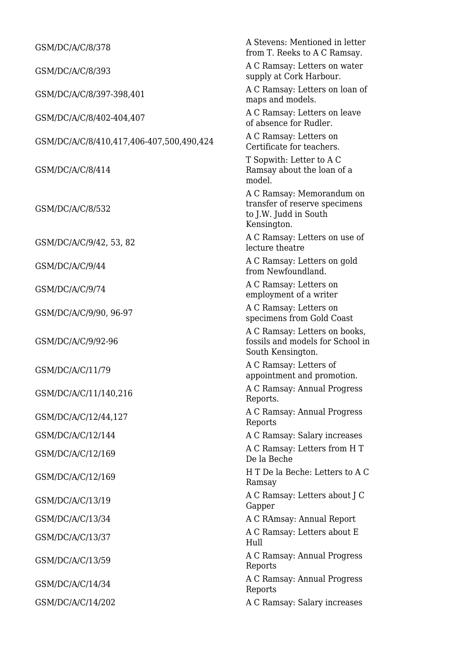| GSM/DC/A/C/8/378                         | A Stevens: Mentioned in letter<br>from T. Reeks to A C Ramsay.                                     |
|------------------------------------------|----------------------------------------------------------------------------------------------------|
| GSM/DC/A/C/8/393                         | A C Ramsay: Letters on water<br>supply at Cork Harbour.                                            |
| GSM/DC/A/C/8/397-398,401                 | A C Ramsay: Letters on loan of<br>maps and models.                                                 |
| GSM/DC/A/C/8/402-404,407                 | A C Ramsay: Letters on leave<br>of absence for Rudler.                                             |
| GSM/DC/A/C/8/410,417,406-407,500,490,424 | A C Ramsay: Letters on<br>Certificate for teachers.                                                |
| GSM/DC/A/C/8/414                         | T Sopwith: Letter to A C<br>Ramsay about the loan of a<br>model.                                   |
| GSM/DC/A/C/8/532                         | A C Ramsay: Memorandum on<br>transfer of reserve specimens<br>to J.W. Judd in South<br>Kensington. |
| GSM/DC/A/C/9/42, 53, 82                  | A C Ramsay: Letters on use of<br>lecture theatre                                                   |
| GSM/DC/A/C/9/44                          | A C Ramsay: Letters on gold<br>from Newfoundland.                                                  |
| GSM/DC/A/C/9/74                          | A C Ramsay: Letters on<br>employment of a writer                                                   |
| GSM/DC/A/C/9/90, 96-97                   | A C Ramsay: Letters on<br>specimens from Gold Coast                                                |
| GSM/DC/A/C/9/92-96                       | A C Ramsay: Letters on books,<br>fossils and models for School in<br>South Kensington.             |
| GSM/DC/A/C/11/79                         | A C Ramsay: Letters of<br>appointment and promotion.                                               |
| GSM/DC/A/C/11/140,216                    | A C Ramsay: Annual Progress<br>Reports.                                                            |
| GSM/DC/A/C/12/44,127                     | A C Ramsay: Annual Progress<br>Reports                                                             |
| GSM/DC/A/C/12/144                        | A C Ramsay: Salary increases                                                                       |
| GSM/DC/A/C/12/169                        | A C Ramsay: Letters from H T<br>De la Beche                                                        |
| GSM/DC/A/C/12/169                        | H T De la Beche: Letters to A C<br>Ramsay                                                          |
| GSM/DC/A/C/13/19                         | A C Ramsay: Letters about J C<br>Gapper                                                            |
| GSM/DC/A/C/13/34                         | A C RAmsay: Annual Report                                                                          |
| GSM/DC/A/C/13/37                         | A C Ramsay: Letters about E<br>Hull                                                                |
| GSM/DC/A/C/13/59                         | A C Ramsay: Annual Progress<br>Reports                                                             |
| GSM/DC/A/C/14/34                         | A C Ramsay: Annual Progress<br>Reports                                                             |
| GSM/DC/A/C/14/202                        | A C Ramsay: Salary increases                                                                       |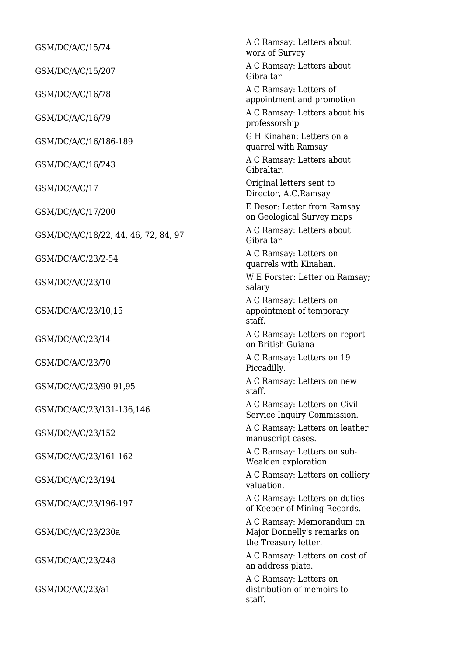| GSM/DC/A/C/15/74                     | A C Ramsay: Letters about<br>work of Survey                                      |
|--------------------------------------|----------------------------------------------------------------------------------|
| GSM/DC/A/C/15/207                    | A C Ramsay: Letters about<br>Gibraltar                                           |
| GSM/DC/A/C/16/78                     | A C Ramsay: Letters of<br>appointment and promotion                              |
| GSM/DC/A/C/16/79                     | A C Ramsay: Letters about his<br>professorship                                   |
| GSM/DC/A/C/16/186-189                | G H Kinahan: Letters on a<br>quarrel with Ramsay                                 |
| GSM/DC/A/C/16/243                    | A C Ramsay: Letters about<br>Gibraltar.                                          |
| GSM/DC/A/C/17                        | Original letters sent to<br>Director, A.C.Ramsay                                 |
| GSM/DC/A/C/17/200                    | E Desor: Letter from Ramsay<br>on Geological Survey maps                         |
| GSM/DC/A/C/18/22, 44, 46, 72, 84, 97 | A C Ramsay: Letters about<br>Gibraltar                                           |
| GSM/DC/A/C/23/2-54                   | A C Ramsay: Letters on<br>quarrels with Kinahan.                                 |
| GSM/DC/A/C/23/10                     | W E Forster: Letter on Ramsay;<br>salary                                         |
| GSM/DC/A/C/23/10,15                  | A C Ramsay: Letters on<br>appointment of temporary<br>staff.                     |
| GSM/DC/A/C/23/14                     | A C Ramsay: Letters on report<br>on British Guiana                               |
| GSM/DC/A/C/23/70                     | A C Ramsay: Letters on 19<br>Piccadilly.                                         |
| GSM/DC/A/C/23/90-91,95               | A C Ramsay: Letters on new<br>staff.                                             |
| GSM/DC/A/C/23/131-136,146            | A C Ramsay: Letters on Civil<br>Service Inquiry Commission.                      |
| GSM/DC/A/C/23/152                    | A C Ramsay: Letters on leather<br>manuscript cases.                              |
| GSM/DC/A/C/23/161-162                | A C Ramsay: Letters on sub-<br>Wealden exploration.                              |
| GSM/DC/A/C/23/194                    | A C Ramsay: Letters on colliery<br>valuation.                                    |
| GSM/DC/A/C/23/196-197                | A C Ramsay: Letters on duties<br>of Keeper of Mining Records.                    |
| GSM/DC/A/C/23/230a                   | A C Ramsay: Memorandum on<br>Major Donnelly's remarks on<br>the Treasury letter. |
| GSM/DC/A/C/23/248                    | A C Ramsay: Letters on cost of<br>an address plate.                              |
| GSM/DC/A/C/23/a1                     | A C Ramsay: Letters on<br>distribution of memoirs to<br>staff.                   |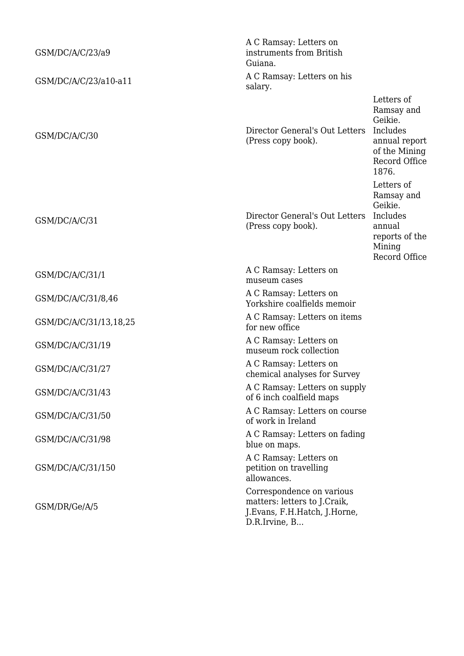| GSM/DC/A/C/23/a9       | A C Ramsay: Letters on<br>instruments from British<br>Guiana.                                              |                                                                                                             |
|------------------------|------------------------------------------------------------------------------------------------------------|-------------------------------------------------------------------------------------------------------------|
| GSM/DC/A/C/23/a10-a11  | A C Ramsay: Letters on his<br>salary.                                                                      |                                                                                                             |
| GSM/DC/A/C/30          | Director General's Out Letters<br>(Press copy book).                                                       | Letters of<br>Ramsay and<br>Geikie.<br>Includes<br>annual report<br>of the Mining<br>Record Office<br>1876. |
| GSM/DC/A/C/31          | Director General's Out Letters<br>(Press copy book).                                                       | Letters of<br>Ramsay and<br>Geikie.<br>Includes<br>annual<br>reports of the<br>Mining<br>Record Office      |
| GSM/DC/A/C/31/1        | A C Ramsay: Letters on<br>museum cases                                                                     |                                                                                                             |
| GSM/DC/A/C/31/8,46     | A C Ramsay: Letters on<br>Yorkshire coalfields memoir                                                      |                                                                                                             |
| GSM/DC/A/C/31/13,18,25 | A C Ramsay: Letters on items<br>for new office                                                             |                                                                                                             |
| GSM/DC/A/C/31/19       | A C Ramsay: Letters on<br>museum rock collection                                                           |                                                                                                             |
| GSM/DC/A/C/31/27       | A C Ramsay: Letters on<br>chemical analyses for Survey                                                     |                                                                                                             |
| GSM/DC/A/C/31/43       | A C Ramsay: Letters on supply<br>of 6 inch coalfield maps                                                  |                                                                                                             |
| GSM/DC/A/C/31/50       | A C Ramsay: Letters on course<br>of work in Ireland                                                        |                                                                                                             |
| GSM/DC/A/C/31/98       | A C Ramsay: Letters on fading<br>blue on maps.                                                             |                                                                                                             |
| GSM/DC/A/C/31/150      | A C Ramsay: Letters on<br>petition on travelling<br>allowances.                                            |                                                                                                             |
| GSM/DR/Ge/A/5          | Correspondence on various<br>matters: letters to J.Craik,<br>J.Evans, F.H.Hatch, J.Horne,<br>D.R.Irvine, B |                                                                                                             |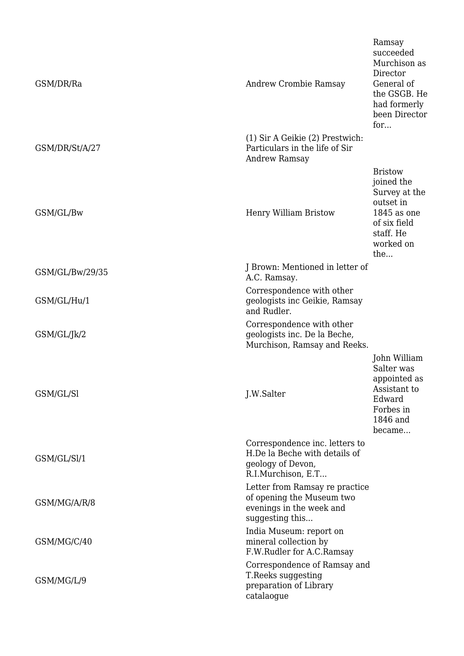| GSM/DR/Ra       | Andrew Crombie Ramsay                                                                                      | Ramsay<br>succeeded<br>Murchison as<br>Director<br>General of<br>the GSGB. He<br>had formerly<br>been Director<br>for        |
|-----------------|------------------------------------------------------------------------------------------------------------|------------------------------------------------------------------------------------------------------------------------------|
| GSM/DR/St/A/27  | (1) Sir A Geikie (2) Prestwich:<br>Particulars in the life of Sir<br>Andrew Ramsay                         |                                                                                                                              |
| GSM/GL/Bw       | Henry William Bristow                                                                                      | <b>Bristow</b><br>joined the<br>Survey at the<br>outset in<br>$1845$ as one<br>of six field<br>staff. He<br>worked on<br>the |
| GSM/GL/Bw/29/35 | J Brown: Mentioned in letter of<br>A.C. Ramsay.                                                            |                                                                                                                              |
| GSM/GL/Hu/1     | Correspondence with other<br>geologists inc Geikie, Ramsay<br>and Rudler.                                  |                                                                                                                              |
| GSM/GL/Jk/2     | Correspondence with other<br>geologists inc. De la Beche,<br>Murchison, Ramsay and Reeks.                  |                                                                                                                              |
| GSM/GL/Sl       | J.W.Salter                                                                                                 | John William<br>Salter was<br>appointed as<br>Assistant to<br>Edward<br>Forbes in<br>1846 and<br>became                      |
| GSM/GL/Sl/1     | Correspondence inc. letters to<br>H.De la Beche with details of<br>geology of Devon,<br>R.I.Murchison, E.T |                                                                                                                              |
| GSM/MG/A/R/8    | Letter from Ramsay re practice<br>of opening the Museum two<br>evenings in the week and<br>suggesting this |                                                                                                                              |
| GSM/MG/C/40     | India Museum: report on<br>mineral collection by<br>F.W.Rudler for A.C.Ramsay                              |                                                                                                                              |
| GSM/MG/L/9      | Correspondence of Ramsay and<br>T.Reeks suggesting<br>preparation of Library<br>catalaogue                 |                                                                                                                              |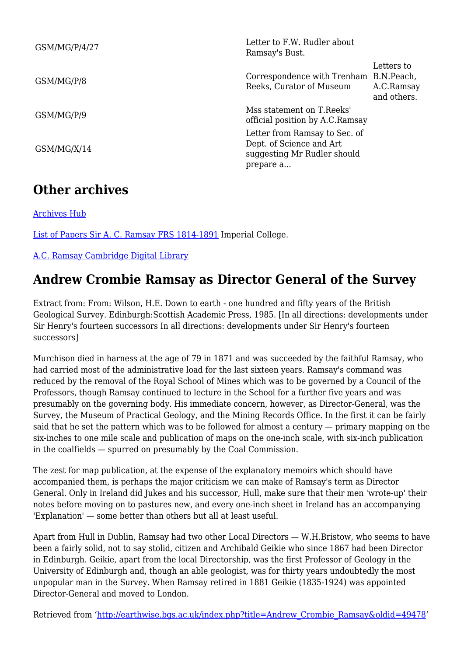| GSM/MG/P/4/27 | Letter to F.W. Rudler about<br>Ramsay's Bust.                                                         |                                         |
|---------------|-------------------------------------------------------------------------------------------------------|-----------------------------------------|
| GSM/MG/P/8    | Correspondence with Trenham B.N.Peach,<br>Reeks, Curator of Museum                                    | Letters to<br>A.C.Ramsay<br>and others. |
| GSM/MG/P/9    | Mss statement on T. Reeks'<br>official position by A.C. Ramsay                                        |                                         |
| GSM/MG/X/14   | Letter from Ramsay to Sec. of<br>Dept. of Science and Art<br>suggesting Mr Rudler should<br>prepare a |                                         |

### **Other archives**

[Archives Hub](https://archiveshub.jisc.ac.uk/search/?terms=Andrew%20Crombie%20Ramsay)

[List of Papers Sir A. C. Ramsay FRS 1814-1891](https://www.imperial.ac.uk/media/imperial-college/administration-and-support-services/records-and-archives/public/Ramsay,-Professor-Sir-Andrew-Crombie-FRS-catalogue-of-papers.pdf) Imperial College.

[A.C. Ramsay Cambridge Digital Library](http://cudl.lib.cam.ac.uk/search?keyword=Ramsay%20&page=1)

### **Andrew Crombie Ramsay as Director General of the Survey**

Extract from: From: Wilson, H.E. Down to earth - one hundred and fifty years of the British Geological Survey. Edinburgh:Scottish Academic Press, 1985. [In all directions: developments under Sir Henry's fourteen successors In all directions: developments under Sir Henry's fourteen successors]

Murchison died in harness at the age of 79 in 1871 and was succeeded by the faithful Ramsay, who had carried most of the administrative load for the last sixteen years. Ramsay's command was reduced by the removal of the Royal School of Mines which was to be governed by a Council of the Professors, though Ramsay continued to lecture in the School for a further five years and was presumably on the governing body. His immediate concern, however, as Director-General, was the Survey, the Museum of Practical Geology, and the Mining Records Office. In the first it can be fairly said that he set the pattern which was to be followed for almost a century — primary mapping on the six-inches to one mile scale and publication of maps on the one-inch scale, with six-inch publication in the coalfields — spurred on presumably by the Coal Commission.

The zest for map publication, at the expense of the explanatory memoirs which should have accompanied them, is perhaps the major criticism we can make of Ramsay's term as Director General. Only in Ireland did Jukes and his successor, Hull, make sure that their men 'wrote-up' their notes before moving on to pastures new, and every one-inch sheet in Ireland has an accompanying 'Explanation' — some better than others but all at least useful.

Apart from Hull in Dublin, Ramsay had two other Local Directors — W.H.Bristow, who seems to have been a fairly solid, not to say stolid, citizen and Archibald Geikie who since 1867 had been Director in Edinburgh. Geikie, apart from the local Directorship, was the first Professor of Geology in the University of Edinburgh and, though an able geologist, was for thirty years undoubtedly the most unpopular man in the Survey. When Ramsay retired in 1881 Geikie (1835-1924) was appointed Director-General and moved to London.

Retrieved from ['http://earthwise.bgs.ac.uk/index.php?title=Andrew\\_Crombie\\_Ramsay&oldid=49478'](http://earthwise.bgs.ac.uk/index.php?title=Andrew_Crombie_Ramsay&oldid=49478)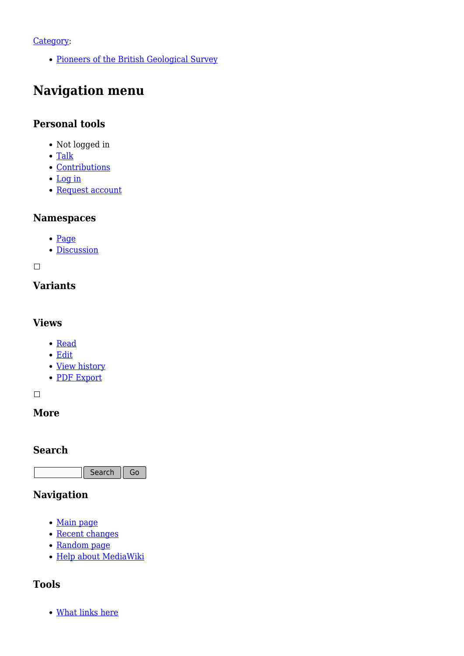#### [Category](http://earthwise.bgs.ac.uk/index.php/Special:Categories):

• [Pioneers of the British Geological Survey](http://earthwise.bgs.ac.uk/index.php/Category:Pioneers_of_the_British_Geological_Survey)

### **Navigation menu**

### **Personal tools**

- Not logged in
- [Talk](http://earthwise.bgs.ac.uk/index.php/Special:MyTalk)
- [Contributions](http://earthwise.bgs.ac.uk/index.php/Special:MyContributions)
- [Log in](http://earthwise.bgs.ac.uk/index.php?title=Special:UserLogin&returnto=Andrew+Crombie+Ramsay&returntoquery=action%3Dmpdf)
- [Request account](http://earthwise.bgs.ac.uk/index.php/Special:RequestAccount)

#### **Namespaces**

- [Page](http://earthwise.bgs.ac.uk/index.php/Andrew_Crombie_Ramsay)
- [Discussion](http://earthwise.bgs.ac.uk/index.php?title=Talk:Andrew_Crombie_Ramsay&action=edit&redlink=1)

 $\Box$ 

### **Variants**

#### **Views**

- [Read](http://earthwise.bgs.ac.uk/index.php/Andrew_Crombie_Ramsay)
- [Edit](http://earthwise.bgs.ac.uk/index.php?title=Andrew_Crombie_Ramsay&action=edit)
- [View history](http://earthwise.bgs.ac.uk/index.php?title=Andrew_Crombie_Ramsay&action=history)
- [PDF Export](http://earthwise.bgs.ac.uk/index.php?title=Andrew_Crombie_Ramsay&action=mpdf)

 $\overline{\phantom{a}}$ 

#### **More**

#### **Search**

Search Go

### **Navigation**

- [Main page](http://earthwise.bgs.ac.uk/index.php/Main_Page)
- [Recent changes](http://earthwise.bgs.ac.uk/index.php/Special:RecentChanges)
- [Random page](http://earthwise.bgs.ac.uk/index.php/Special:Random)
- [Help about MediaWiki](https://www.mediawiki.org/wiki/Special:MyLanguage/Help:Contents)

### **Tools**

[What links here](http://earthwise.bgs.ac.uk/index.php/Special:WhatLinksHere/Andrew_Crombie_Ramsay)